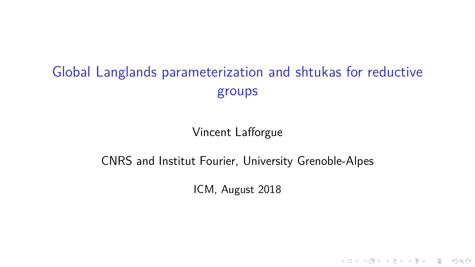# Global Langlands parameterization and shtukas for reductive groups

Vincent Lafforgue

## CNRS and Institut Fourier, University Grenoble-Alpes

ICM, August 2018

K ロ ▶ K @ ▶ K 할 ▶ K 할 ▶ 이 할 → 9 Q Q →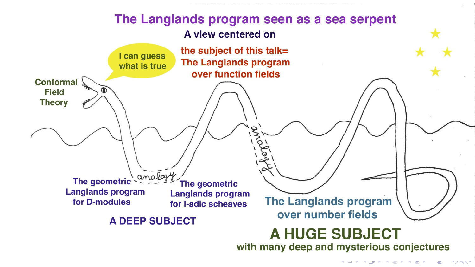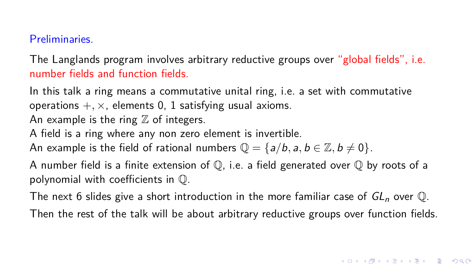#### Preliminaries.

The Langlands program involves arbitrary reductive groups over "global fields", i.e. number fields and function fields.

In this talk a ring means a commutative unital ring, i.e. a set with commutative operations  $+$ ,  $\times$ , elements 0, 1 satisfying usual axioms. An example is the ring  $\mathbb Z$  of integers.

A field is a ring where any non zero element is invertible.

An example is the field of rational numbers  $\mathbb{Q} = \{a/b, a, b \in \mathbb{Z}, b \neq 0\}$ .

A number field is a finite extension of  $\mathbb{Q}$ , i.e. a field generated over  $\mathbb{Q}$  by roots of a polynomial with coefficients in Q.

The next 6 slides give a short introduction in the more familiar case of  $GL_n$  over  $\mathbb{Q}$ .

Then the rest of the talk will be about arbitrary reductive groups over function fields.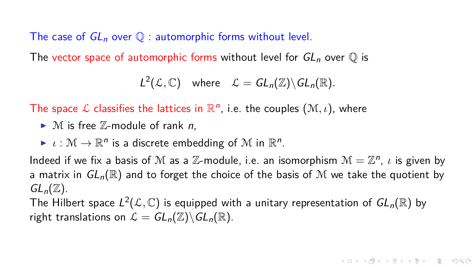The case of  $GL_n$  over  $\mathbb Q$  : automorphic forms without level.

The vector space of automorphic forms without level for  $GL_n$  over  $\mathbb Q$  is

$$
L^2(\mathcal{L},\mathbb{C}) \quad \text{where} \quad \mathcal{L} = GL_n(\mathbb{Z}) \backslash GL_n(\mathbb{R}).
$$

The space  $\mathcal L$  classifies the lattices in  $\mathbb R^n$ , i.e. the couples  $(\mathcal M, \iota)$ , where

 $\blacktriangleright$  M is free  $\mathbb{Z}$ -module of rank *n*.

 $\blacktriangleright$   $\iota : \mathcal{M} \to \mathbb{R}^n$  is a discrete embedding of  $\mathcal{M}$  in  $\mathbb{R}^n$ .

Indeed if we fix a basis of M as a Z-module, i.e. an isomorphism  $\mathcal{M} = \mathbb{Z}^n$ , *ι* is given by a matrix in  $GL_n(\mathbb{R})$  and to forget the choice of the basis of M we take the quotient by  $GL_n(\mathbb{Z})$ .

The Hilbert space  $L^2(\mathcal{L},\mathbb{C})$  is equipped with a unitary representation of  $GL_n(\mathbb{R})$  by right translations on  $\mathcal{L} = GL_n(\mathbb{Z}) \backslash GL_n(\mathbb{R})$ .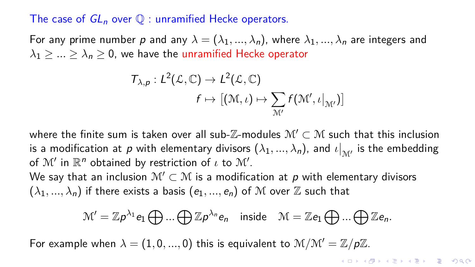#### The case of  $GL_n$  over  $\mathbb O$  : unramified Hecke operators.

For any prime number p and any  $\lambda = (\lambda_1, ..., \lambda_n)$ , where  $\lambda_1, ..., \lambda_n$  are integers and  $\lambda_1$  > ... >  $\lambda_n$  > 0, we have the unramified Hecke operator

$$
T_{\lambda,p}: L^2(\mathcal{L}, \mathbb{C}) \to L^2(\mathcal{L}, \mathbb{C})
$$

$$
f \mapsto [(\mathfrak{M}, \iota) \mapsto \sum_{\mathcal{M}'} f(\mathcal{M}', \iota|_{\mathcal{M}'})]
$$

where the finite sum is taken over all sub- $\mathbb{Z}$ -modules  $\mathcal{M}' \subset \mathcal{M}$  such that this inclusion is a modification at p with elementary divisors  $(\lambda_1, ..., \lambda_n)$ , and  $\iota|_{\mathcal{M}'}$  is the embedding of  $\mathcal{M}'$  in  $\mathbb{R}^n$  obtained by restriction of  $\iota$  to  $\mathcal{M}'$ .

We say that an inclusion  $\mathcal{M}' \subset \mathcal{M}$  is a modification at p with elementary divisors  $(\lambda_1, ..., \lambda_n)$  if there exists a basis  $(e_1, ..., e_n)$  of M over Z such that

$$
\mathcal{M}'=\mathbb{Z} p^{\lambda_1}e_1\bigoplus...\bigoplus\mathbb{Z} p^{\lambda_n}e_n\quad\text{inside}\quad \mathcal{M}=\mathbb{Z} e_1\bigoplus...\bigoplus\mathbb{Z} e_n.
$$

For example when  $\lambda = (1, 0, ..., 0)$  this is equivalent to  $\mathcal{M}/\mathcal{M}' = \mathbb{Z}/p\mathbb{Z}$ .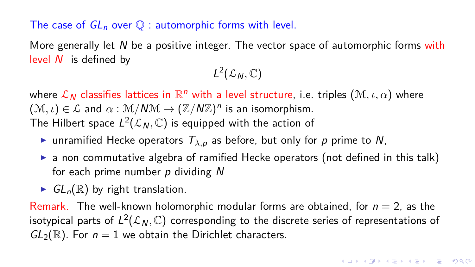### The case of  $GL_n$  over  $\mathbb{O}$  : automorphic forms with level.

More generally let  $N$  be a positive integer. The vector space of automorphic forms with level  $N$  is defined by

 $L^2(\mathcal{L}_N,\mathbb{C})$ 

where  $\mathcal{L}_{\bm{\mathcal{N}}}$  classifies lattices in  $\mathbb{R}^n$  with a level structure, i.e. triples  $(\mathcal{M}, \iota, \alpha)$  where  $(M, \iota) \in \mathcal{L}$  and  $\alpha : \mathcal{M}/N\mathcal{M} \to (\mathbb{Z}/N\mathbb{Z})^n$  is an isomorphism. The Hilbert space  $L^2({\mathcal L}_N, {\mathbb{C}})$  is equipped with the action of

- **If** unramified Hecke operators  $T_{\lambda,p}$  as before, but only for p prime to N,
- $\triangleright$  a non commutative algebra of ramified Hecke operators (not defined in this talk) for each prime number  $p$  dividing  $N$
- $\blacktriangleright$   $GL_n(\mathbb{R})$  by right translation.

Remark. The well-known holomorphic modular forms are obtained, for  $n = 2$ , as the isotypical parts of  $L^2({\mathcal L}_N, {\mathbb C})$  corresponding to the discrete series of representations of  $GL_2(\mathbb{R})$ . For  $n=1$  we obtain the Dirichlet characters.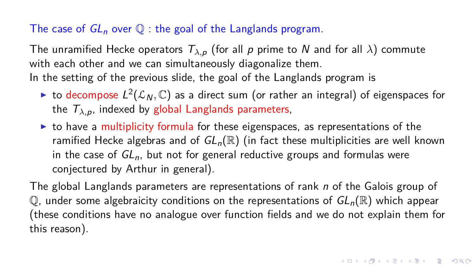## The case of  $GL_n$  over  $\mathbb Q$ : the goal of the Langlands program.

The unramified Hecke operators  $T_{\lambda,p}$  (for all p prime to N and for all  $\lambda$ ) commute with each other and we can simultaneously diagonalize them. In the setting of the previous slide, the goal of the Langlands program is

- $\blacktriangleright$  to decompose  $L^2({\mathcal L}_N, {\mathbb C})$  as a direct sum (or rather an integral) of eigenspaces for the  $T_{\lambda,p}$ , indexed by global Langlands parameters,
- $\triangleright$  to have a multiplicity formula for these eigenspaces, as representations of the ramified Hecke algebras and of  $GL_n(\mathbb{R})$  (in fact these multiplicities are well known in the case of  $GL_n$ , but not for general reductive groups and formulas were conjectured by Arthur in general).

The global Langlands parameters are representations of rank n of the Galois group of  $\mathbb Q$ , under some algebraicity conditions on the representations of  $GL_n(\mathbb R)$  which appear (these conditions have no analogue over function fields and we do not explain them for this reason).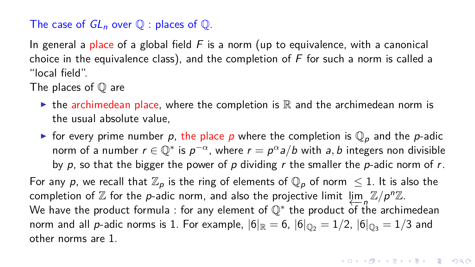## The case of  $GL_n$  over  $\mathbb Q$  : places of  $\mathbb Q$ .

In general a place of a global field  $F$  is a norm (up to equivalence, with a canonical choice in the equivalence class), and the completion of  $F$  for such a norm is called a "local field".

The places of  $\mathbb O$  are

- In the archimedean place, where the completion is  $\mathbb R$  and the archimedean norm is the usual absolute value,
- In for every prime number p, the place p where the completion is  $\mathbb{Q}_p$  and the p-adic norm of a number  $r \in \mathbb{Q}^*$  is  $p^{-\alpha}$ , where  $r = p^{\alpha}a/b$  with a, b integers non divisible by p, so that the bigger the power of p dividing r the smaller the p-adic norm of r.

For any p, we recall that  $\mathbb{Z}_p$  is the ring of elements of  $\mathbb{Q}_p$  of norm  $\leq 1$ . It is also the completion of Z for the *p*-adic norm, and also the projective limit lim<sub>n</sub> Z/p<sup>n</sup>Z. We have the product formula : for any element of  $\mathbb{Q}^*$  the product of the archimedean norm and all p-adic norms is 1. For example,  $|6|_{\mathbb{R}} = 6$ ,  $|6|_{\mathbb{Q}_2} = 1/2$ ,  $|6|_{\mathbb{Q}_2} = 1/3$  and other norms are 1.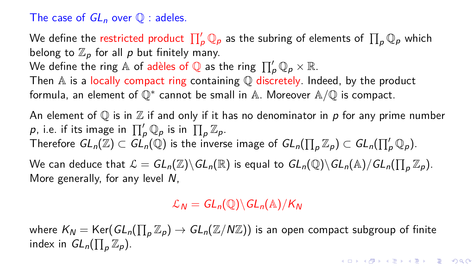## The case of  $GL_n$  over  $\mathbb O$  : adeles.

We define the restricted product  $\prod_\rho' \mathbb{Q}_\rho$  as the subring of elements of  $\prod_\rho \mathbb{Q}_\rho$  which belong to  $\mathbb{Z}_p$  for all p but finitely many.

We define the ring  $\mathbb A$  of adèles of  $\mathbb Q$  as the ring  $\prod'_P \mathbb Q_p\times \mathbb R.$ 

Then  $A$  is a locally compact ring containing  $\mathbb Q$  discretely. Indeed, by the product formula, an element of ℚ\* cannot be small in <mark>A. Moreover A/ℚ is compact.</mark>

An element of  $\mathbb O$  is in  $\mathbb Z$  if and only if it has no denominator in p for any prime number  $\rho$ , i.e. if its image in  $\prod'_p \mathbb{Q}_p$  is in  $\prod_p \mathbb{Z}_p$ . Therefore  $GL_n(\Z)\subset GL_n(\mathbb{Q})$  is the inverse image of  $GL_n(\prod_{\rho}\Z_\rho)\subset GL_n(\prod_{\rho}'\mathbb{Q}_\rho).$ We can deduce that  $\mathcal{L} = GL_n(\mathbb{Z}) \backslash GL_n(\mathbb{R})$  is equal to  $GL_n(\mathbb{Q}) \backslash GL_n(\mathbb{A}) / GL_n(\prod_p \mathbb{Z}_p).$ 

More generally, for any level N,

 $\mathcal{L}_N = GL_n(\mathbb{Q}) \backslash GL_n(\mathbb{A}) / K_N$ 

where  $\mathcal{K}_\mathcal{N} = \mathsf{Ker}(GL_n(\prod_p \mathbb{Z}_p) \to GL_n(\mathbb{Z}/N\mathbb{Z}))$  is an open compact subgroup of finite index in  $GL_n(\prod_p \mathbb{Z}_p)$ .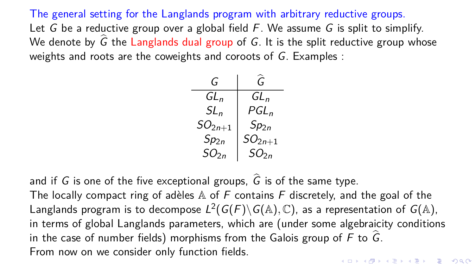The general setting for the Langlands program with arbitrary reductive groups. Let G be a reductive group over a global field  $F$ . We assume G is split to simplify. We denote by  $\hat{G}$  the Langlands dual group of G. It is the split reductive group whose weights and roots are the coweights and coroots of G. Examples :



and if G is one of the five exceptional groups,  $\hat{G}$  is of the same type.

The locally compact ring of adèles  $A$  of F contains F discretely, and the goal of the Langlands program is to decompose  $L^2(G(F)\backslash G(\mathbb A),\mathbb C)$ , as a representation of  $G(\mathbb A),$ in terms of global Langlands parameters, which are (under some algebraicity conditions in the case of number fields) morphisms from the Galois group of  $F$  to  $\widehat{G}$ . From now on we consider only function fields.**YO A REPART ARE YOUR**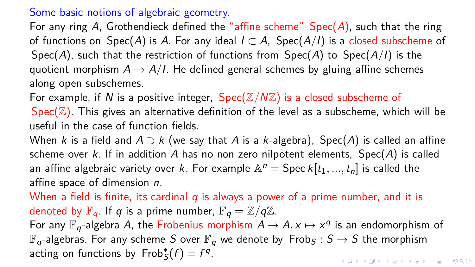## Some basic notions of algebraic geometry.

For any ring A, Grothendieck defined the "affine scheme"  $Spec(A)$ , such that the ring of functions on Spec(A) is A. For any ideal  $I \subset A$ , Spec(A/I) is a closed subscheme of Spec(A), such that the restriction of functions from  $Spec(A)$  to  $Spec(A/I)$  is the quotient morphism  $A \rightarrow A/I$ . He defined general schemes by gluing affine schemes along open subschemes.

For example, if N is a positive integer,  $Spec(\mathbb{Z}/N\mathbb{Z})$  is a closed subscheme of Spec( $\mathbb{Z}$ ). This gives an alternative definition of the level as a subscheme, which will be useful in the case of function fields.

When k is a field and  $A \supset k$  (we say that A is a k-algebra), Spec(A) is called an affine scheme over k. If in addition A has no non zero nilpotent elements,  $Spec(A)$  is called an affine algebraic variety over k. For example  $\mathbb{A}^n = \mathsf{Spec}\, k[t_1, ..., t_n]$  is called the affine space of dimension n.

When a field is finite, its cardinal  $q$  is always a power of a prime number, and it is denoted by  $\mathbb{F}_q$ . If q is a prime number,  $\mathbb{F}_q = \mathbb{Z}/q\mathbb{Z}$ . For any  $\mathbb{F}_q$ -algebra A, the Frobenius morphism  $A \to A$ ,  $x \mapsto x^q$  is an endomorphism of  $\mathbb{F}_q$ -algebras. For any scheme S over  $\mathbb{F}_q$  we denote by  $Frob_S : S \to S$  the morphism

acting on functions by  $Frob_S^*(f) = f^q$ .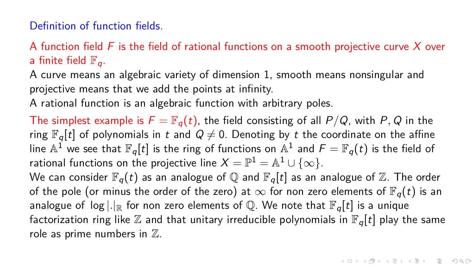### Definition of function fields.

A function field  $F$  is the field of rational functions on a smooth projective curve  $X$  over a finite field  $\mathbb{F}_q$ .

A curve means an algebraic variety of dimension 1, smooth means nonsingular and projective means that we add the points at infinity.

A rational function is an algebraic function with arbitrary poles.

The simplest example is  $F = \mathbb{F}_q(t)$ , the field consisting of all  $P/Q$ , with P, Q in the ring  $\mathbb{F}_q[t]$  of polynomials in t and  $Q \neq 0$ . Denoting by t the coordinate on the affine line  $\mathbb{A}^1$  we see that  $\mathbb{F}_q[t]$  is the ring of functions on  $\mathbb{A}^1$  and  $\mathcal{F}=\mathbb{F}_q(t)$  is the field of rational functions on the projective line  $X=\mathbb{P}^1=\mathbb{A}^1\cup\{\infty\}.$ We can consider  $\mathbb{F}_q(t)$  as an analogue of Q and  $\mathbb{F}_q[t]$  as an analogue of Z. The order of the pole (or minus the order of the zero) at  $\infty$  for non zero elements of  $\mathbb{F}_q(t)$  is an analogue of  $\log |.|_{\mathbb{R}}$  for non zero elements of Q. We note that  $\mathbb{F}_q[t]$  is a unique factorization ring like  $\mathbb Z$  and that unitary irreducible polynomials in  $\mathbb F_q[t]$  play the same role as prime numbers in  $\mathbb Z$ .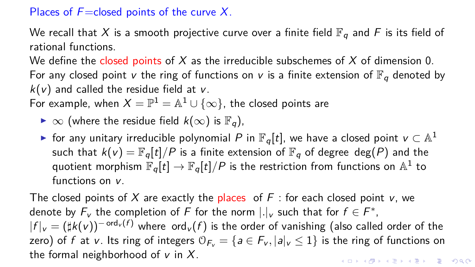## Places of  $F =$ closed points of the curve X.

We recall that X is a smooth projective curve over a finite field  $\mathbb{F}_q$  and F is its field of rational functions.

We define the closed points of X as the irreducible subschemes of X of dimension 0.

For any closed point v the ring of functions on v is a finite extension of  $\mathbb{F}_q$  denoted by  $k(v)$  and called the residue field at v.

For example, when  $X=\mathbb{P}^1=\mathbb{A}^1\cup\{\infty\}$ , the closed points are

- $\triangleright \infty$  (where the residue field  $k(\infty)$  is  $\mathbb{F}_q$ ),
- ► for any unitary irreducible polynomial  $P$  in  $\mathbb{F}_q[t]$ , we have a closed point  $v \subset \mathbb{A}^1$ such that  $k(v) = \mathbb{F}_{q}[t]/P$  is a finite extension of  $\mathbb{F}_{q}$  of degree deg(P) and the quotient morphism  $\mathbb{F}_q[t] \to \mathbb{F}_q[t]/P$  is the restriction from functions on  $\mathbb{A}^1$  to functions on v.

The closed points of X are exactly the places of  $F$  : for each closed point v, we denote by  $F_v$  the completion of  $F$  for the norm  $|.|_v$  such that for  $f\in F^*,$  $|f|_v = (\sharp k(v))^{-\text{ord}_v(f)}$  where  $\text{ord}_v(f)$  is the order of vanishing (also called order of the zero) of f at v. Its ring of integers  $\mathcal{O}_{F_v} = \{a \in F_v, |a|_v \leq 1\}$  is the ring of functions on the formal neighborhood of  $v$  in  $X$ . KID KA KERKER KID KO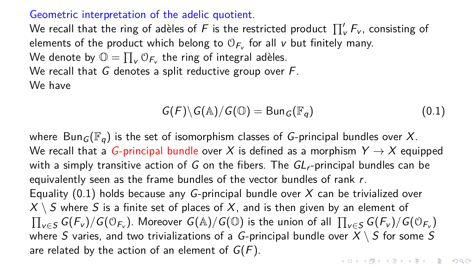#### Geometric interpretation of the adelic quotient.

We recall that the ring of adèles of  $F$  is the restricted product  $\prod'_\mathsf{\nu} F_\mathsf{\nu}$ , consisting of elements of the product which belong to  $\mathbb{O}_{\mathsf{F}_\mathsf{v}}$  for all  $\mathsf{v}$  but finitely many. We denote by  $\mathbb{O} = \prod_{\mathsf{v}} \mathbb{O}_{\mathsf{F}_\mathsf{v}}$  the ring of integral adèles. We recall that  $G$  denotes a split reductive group over  $F$ . We have

<span id="page-13-0"></span>
$$
G(F)\backslash G(\mathbb{A})/G(\mathbb{O})=\mathrm{Bun}_G(\mathbb{F}_q)
$$
\n(0.1)

where Bun<sub>G</sub>( $\mathbb{F}_q$ ) is the set of isomorphism classes of G-principal bundles over X. We recall that a G-principal bundle over X is defined as a morphism  $Y \rightarrow X$  equipped with a simply transitive action of G on the fibers. The  $GL<sub>r</sub>$ -principal bundles can be equivalently seen as the frame bundles of the vector bundles of rank r. Equality  $(0.1)$  holds because any G-principal bundle over X can be trivialized over  $X \setminus S$  where S is a finite set of places of X, and is then given by an element of  $\prod_{v\in S}G(F_v)/G(\mathbb{O}_{F_v})$ . Moreover  $G(\mathbb{A})/G(\mathbb{O})$  is the union of all  $\prod_{v\in S}G(F_v)/G(\mathbb{O}_{F_v})$ where S varies, and two trivializations of a G-principal bundle over  $X \setminus S$  for some S are related by the action of an element of  $G(F)$ . KID KØD KED KED E 1990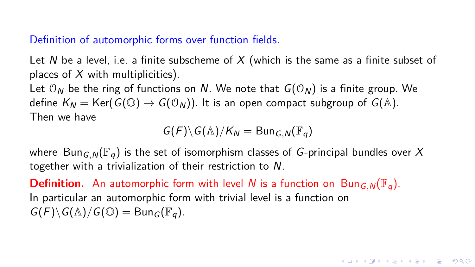## Definition of automorphic forms over function fields.

Let N be a level, i.e. a finite subscheme of X (which is the same as a finite subset of places of  $X$  with multiplicities).

Let  $O_N$  be the ring of functions on N. We note that  $G(O_N)$  is a finite group. We define  $K_N = \text{Ker}(G(\mathbb{O}) \to G(\mathbb{O}_N))$ . It is an open compact subgroup of  $G(\mathbb{A})$ . Then we have

$$
G(F)\backslash G(\mathbb{A})/K_N = \mathrm{Bun}_{G,N}(\mathbb{F}_q)
$$

where Bun<sub>G,N</sub>( $\mathbb{F}_q$ ) is the set of isomorphism classes of G-principal bundles over X together with a trivialization of their restriction to N.

**Definition.** An automorphic form with level N is a function on Bun<sub>GN</sub>( $\mathbb{F}_q$ ). In particular an automorphic form with trivial level is a function on  $G(F)\backslash G(\mathbb{A})/G(\mathbb{O}) = \text{Bun}_G(\mathbb{F}_q).$ 

**KOD KAR KED KED E VOOR**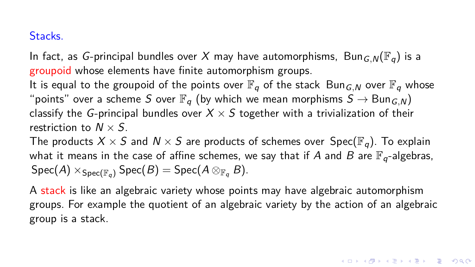## Stacks.

In fact, as G-principal bundles over X may have automorphisms, Bun<sub>G,N</sub>( $\mathbb{F}_q$ ) is a groupoid whose elements have finite automorphism groups.

It is equal to the groupoid of the points over  $\mathbb{F}_q$  of the stack Bun<sub>G</sub><sub>N</sub> over  $\mathbb{F}_q$  whose "points" over a scheme S over  $\mathbb{F}_q$  (by which we mean morphisms  $S \to \text{Bun}_{G}$  N) classify the G-principal bundles over  $X \times S$  together with a trivialization of their restriction to  $N \times S$ .

The products  $X \times S$  and  $N \times S$  are products of schemes over  $Spec(\mathbb{F}_q)$ . To explain what it means in the case of affine schemes, we say that if A and B are  $\mathbb{F}_{q}$ -algebras,  $Spec(A) \times_{Spec(\mathbb{F}_q)} Spec(B) = Spec(A \otimes_{\mathbb{F}_q} B).$ 

A stack is like an algebraic variety whose points may have algebraic automorphism groups. For example the quotient of an algebraic variety by the action of an algebraic group is a stack.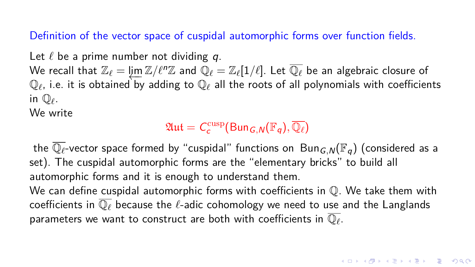Definition of the vector space of cuspidal automorphic forms over function fields.

Let  $\ell$  be a prime number not dividing  $q$ .

We recall that  $\mathbb{Z}_{\ell} = \varprojlim \mathbb{Z}/\ell^n\mathbb{Z}$  and  $\mathbb{Q}_{\ell} = \mathbb{Z}_{\ell}[1/\ell].$  Let  $\overline{\mathbb{Q}_{\ell}}$  be an algebraic closure of  $\mathbb{Q}_\ell$ , i.e. it is obtained by adding to  $\mathbb{Q}_\ell$  all the roots of all polynomials with coefficients in  $\mathbb{Q}_\ell$ .

We write

 $\mathfrak{Aut} = \mathcal{C}^{\mathrm{cusp}}_c(\mathsf{Bun}_{G,\mathsf{N}}(\mathbb{F}_q), \overline{\mathbb{Q}_\ell})$ 

the  $\overline{\mathbb{Q}_\ell}$ -vector space formed by "cuspidal" functions on  $\text{Bun}_{G,N}(\mathbb{F}_q)$  (considered as a set). The cuspidal automorphic forms are the "elementary bricks" to build all automorphic forms and it is enough to understand them. We can define cuspidal automorphic forms with coefficients in  $\mathbb O$ . We take them with coefficients in  $\overline{\mathbb{Q}_{\ell}}$  because the  $\ell$ -adic cohomology we need to use and the Langlands parameters we want to construct are both with coefficients in  $\overline{\mathbb{Q}_\ell}.$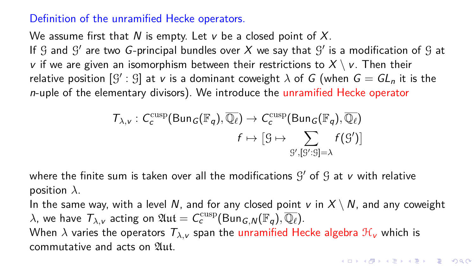#### Definition of the unramified Hecke operators.

We assume first that N is empty. Let v be a closed point of  $X$ . If  $\mathcal G$  and  $\mathcal G'$  are two G-principal bundles over  $X$  we say that  $\mathcal G'$  is a modification of  $\mathcal G$  at v if we are given an isomorphism between their restrictions to  $X \setminus V$ . Then their relative position  $[\mathfrak{G}' : \mathfrak{G}]$  at  $v$  is a dominant coweight  $\lambda$  of  $G$  (when  $G = GL_n$  it is the n-uple of the elementary divisors). We introduce the unramified Hecke operator

$$
\mathcal{T}_{\lambda,\nu}: C_c^{\text{cusp}}(\text{Bun}_G(\mathbb{F}_q), \overline{\mathbb{Q}_\ell}) \to C_c^{\text{cusp}}(\text{Bun}_G(\mathbb{F}_q), \overline{\mathbb{Q}_\ell})
$$

$$
f \mapsto [g \mapsto \sum_{\mathcal{G}', [\mathcal{G}':\mathcal{G}] = \lambda} f(\mathcal{G}')] \end{aligned}
$$

where the finite sum is taken over all the modifications  $\mathcal{G}'$  of  $\mathcal{G}$  at  $\mathsf{\nu}$  with relative position *λ*.

In the same way, with a level N, and for any closed point v in  $X \setminus N$ , and any coweight  $\lambda$ , we have  $\mathcal{T}_{\lambda,\nu}$  acting on  $\mathfrak{Aut} = \mathcal{C}_{\mathsf{c}}^\mathrm{cusp}(\mathsf{Bun}_{\mathsf{G},\mathsf{N}}(\mathbb{F}_q),\overline{\mathbb{Q}_\ell}).$ When  $\lambda$  varies the operators  $T_{\lambda,\nu}$  span the unramified Hecke algebra  $\mathcal{H}_{\nu}$  which is commutative and acts on 21ut.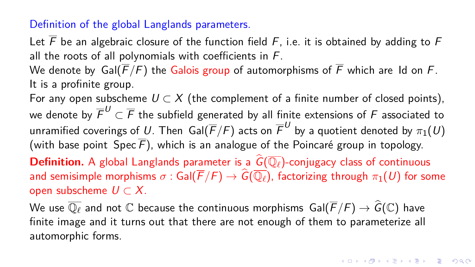#### Definition of the global Langlands parameters.

Let  $\overline{F}$  be an algebraic closure of the function field F, i.e. it is obtained by adding to F all the roots of all polynomials with coefficients in F.

We denote by Gal( $\overline{F}/F$ ) the Galois group of automorphisms of  $\overline{F}$  which are Id on  $F$ . It is a profinite group.

For any open subscheme  $U \subset X$  (the complement of a finite number of closed points), we denote by  $\overline{\digamma}^U\subset\overline{\digamma}$  the subfield generated by all finite extensions of  $\digamma$  associated to unramified coverings of  $U$ . Then  $\mathsf{Gal}(\overline{F}/F)$  acts on  $\overline{F}^U$  by a quotient denoted by  $\pi_1(U)$ (with base point Spec  $\overline{F}$ ), which is an analogue of the Poincaré group in topology. **Definition.** A global Langlands parameter is a  $\widehat{G}(\overline{\mathbb{Q}}_{\ell})$ -conjugacy class of continuous

and semisimple morphisms  $\sigma$  : Gal( $\overline{F}/F$ )  $\to \widehat{G}(\overline{\mathbb{Q}_\ell})$ , factorizing through  $\pi_1(U)$  for some open subscheme  $U \subset X$ .

We use  $\overline{\mathbb{Q}_{\ell}}$  and not  $\mathbb C$  because the continuous morphisms  $Gal(\overline{F}/F) \to \widehat{G}(\mathbb C)$  have finite image and it turns out that there are not enough of them to parameterize all automorphic forms.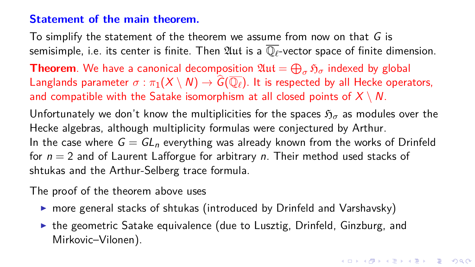#### **Statement of the main theorem.**

To simplify the statement of the theorem we assume from now on that  $G$  is semisimple, i.e. its center is finite. Then  $\mathfrak{Aut}$  is a  $\overline{\mathbb{Q}_\ell}$ -vector space of finite dimension. **Theorem**. We have a canonical decomposition  $\mathfrak{Aut} = \bigoplus_{\sigma} \mathfrak{H}_{\sigma}$  indexed by global Langlands parameter  $\sigma : \pi_1(X \setminus N) \to \widehat{G}(\overline{\mathbb{Q}_\ell})$ . It is respected by all Hecke operators, and compatible with the Satake isomorphism at all closed points of  $X \setminus N$ . Unfortunately we don't know the multiplicities for the spaces  $\mathfrak{H}_{\sigma}$  as modules over the Hecke algebras, although multiplicity formulas were conjectured by Arthur. In the case where  $G = GL_n$  everything was already known from the works of Drinfeld for  $n = 2$  and of Laurent Lafforgue for arbitrary n. Their method used stacks of shtukas and the Arthur-Selberg trace formula.

The proof of the theorem above uses

- $\triangleright$  more general stacks of shtukas (introduced by Drinfeld and Varshavsky)
- $\triangleright$  the geometric Satake equivalence (due to Lusztig, Drinfeld, Ginzburg, and Mirkovic–Vilonen).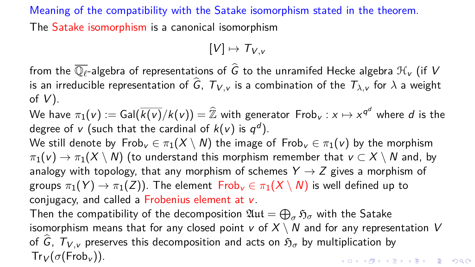Meaning of the compatibility with the Satake isomorphism stated in the theorem. The Satake isomorphism is a canonical isomorphism

$$
[V] \mapsto \mathcal{T}_{V,v}
$$

from the  $\overline{\mathbb{O}_{\ell}}$ -algebra of representations of  $\widehat{G}$  to the unramifed Hecke algebra  $\mathcal{H}_{V}$  (if V is an irreducible representation of  $\hat{G}$ ,  $T_{V, v}$  is a combination of the  $T_{\lambda, v}$  for  $\lambda$  a weight of  $V$ ).

We have  $\pi_1(v) := \textsf{Gal}(\overline{k(v)}/k(v)) = \widehat{\mathbb{Z}}$  with generator  $\textsf{Frob}_v : x \mapsto x^{\textsf{q}^d}$  where  $d$  is the degree of v (such that the cardinal of  $k(v)$  is  $q^{d}$ ).

We still denote by  $Frob_v \in \pi_1(X \setminus N)$  the image of  $Frob_v \in \pi_1(v)$  by the morphism  $\pi_1(v) \to \pi_1(X \setminus N)$  (to understand this morphism remember that  $v \subset X \setminus N$  and, by analogy with topology, that any morphism of schemes  $Y \rightarrow Z$  gives a morphism of groups  $\pi_1(Y) \to \pi_1(Z)$ ). The element  $Frob_v \in \pi_1(X \setminus N)$  is well defined up to conjugacy, and called a Frobenius element at v.

Then the compatibility of the decomposition  $\mathfrak{Aut}=\bigoplus_{\sigma}\mathfrak{H}_{\sigma}$  with the Satake isomorphism means that for any closed point v of  $X \setminus N$  and for any representation V of  $\hat{G}$ ,  $T_{V}$  *preserves this decomposition and acts on*  $\mathfrak{H}_{\sigma}$  *by multiplication by*  $Tr_V(\sigma(Frob_{V}))$ . **KORK EXTERNE PROVIDE**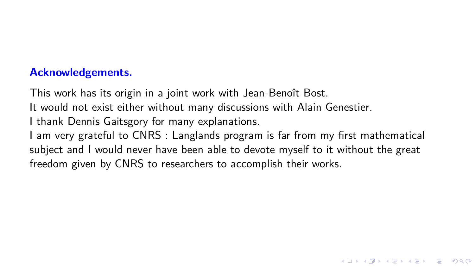## **Acknowledgements.**

This work has its origin in a joint work with Jean-Benoît Bost.

It would not exist either without many discussions with Alain Genestier.

I thank Dennis Gaitsgory for many explanations.

I am very grateful to CNRS : Langlands program is far from my first mathematical subject and I would never have been able to devote myself to it without the great freedom given by CNRS to researchers to accomplish their works.

**KORKA ERKER ADA KIRIK KORA**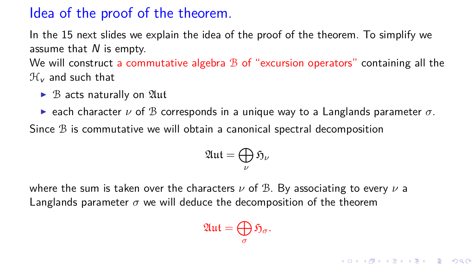# Idea of the proof of the theorem.

In the 15 next slides we explain the idea of the proof of the theorem. To simplify we assume that  $N$  is empty.

We will construct a commutative algebra  $\mathcal B$  of "excursion operators" containing all the  $\mathcal{H}_{\nu}$  and such that

- $\triangleright$  B acts naturally on  $\mathfrak{Aut}$
- **E** each character  $\nu$  of B corresponds in a unique way to a Langlands parameter  $\sigma$ .

Since B is commutative we will obtain a canonical spectral decomposition

$$
\mathfrak{Aut}=\bigoplus_{\nu}\mathfrak{H}_{\nu}
$$

where the sum is taken over the characters *ν* of B. By associating to every *ν* a Langlands parameter  $\sigma$  we will deduce the decomposition of the theorem

$$
\mathfrak{Aut}=\bigoplus_{\sigma}\mathfrak{H}_{\sigma}.
$$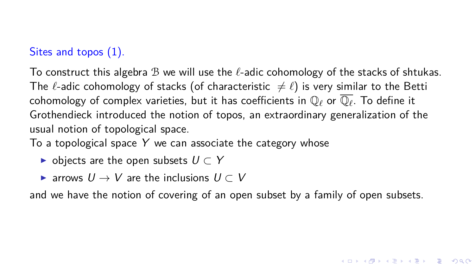## Sites and topos (1).

To construct this algebra B we will use the *`*-adic cohomology of the stacks of shtukas. The  $\ell$ -adic cohomology of stacks (of characteristic  $\neq \ell$ ) is very similar to the Betti cohomology of complex varieties, but it has coefficients in  $\mathbb{Q}_\ell$  or  $\overline{\mathbb{Q}_\ell}.$  To define it Grothendieck introduced the notion of topos, an extraordinary generalization of the usual notion of topological space.

To a topological space  $Y$  we can associate the category whose

- $\triangleright$  objects are the open subsets  $U \subset Y$
- $\triangleright$  arrows  $U \rightarrow V$  are the inclusions  $U \subset V$

and we have the notion of covering of an open subset by a family of open subsets.

**KORK ERKER ADAM ADA**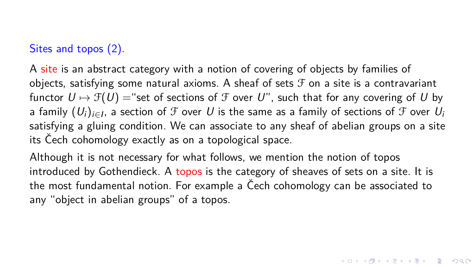## Sites and topos (2).

A site is an abstract category with a notion of covering of objects by families of objects, satisfying some natural axioms. A sheaf of sets  $\mathcal F$  on a site is a contravariant functor  $U \mapsto \mathcal{F}(U) =$  "set of sections of  $\mathcal F$  over U", such that for any covering of U by a family  $(U_i)_{i\in I}$ , a section of  ${\mathcal F}$  over  $U$  is the same as a family of sections of  ${\mathcal F}$  over  $U_i$ satisfying a gluing condition. We can associate to any sheaf of abelian groups on a site its Čech cohomology exactly as on a topological space.

Although it is not necessary for what follows, we mention the notion of topos introduced by Gothendieck. A topos is the category of sheaves of sets on a site. It is the most fundamental notion. For example a Čech cohomology can be associated to any "object in abelian groups" of a topos.

**KORK ERKER ADAM ADA**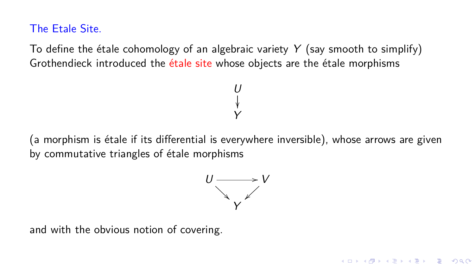The Etale Site.

To define the étale cohomology of an algebraic variety  $Y$  (say smooth to simplify) Grothendieck introduced the étale site whose objects are the étale morphisms

(a morphism is étale if its differential is everywhere inversible), whose arrows are given by commutative triangles of étale morphisms

U ľ Y



**KORK EXTERNE DRAM** 

and with the obvious notion of covering.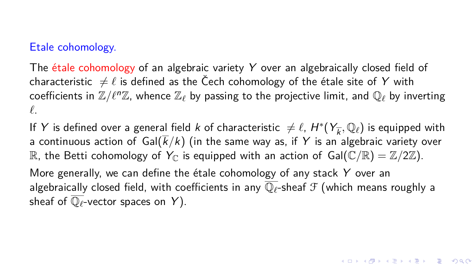#### Etale cohomology.

The étale cohomology of an algebraic variety Y over an algebraically closed field of characteristic  $\neq \ell$  is defined as the Čech cohomology of the étale site of Y with coefficients in  $\mathbb{Z}/\ell^n\mathbb{Z}$ , whence  $\mathbb{Z}_\ell$  by passing to the projective limit, and  $\mathbb{Q}_\ell$  by inverting *`*.

If Y is defined over a general field  $k$  of characteristic  $\neq \ell$ ,  $H^*(Y_{\overline{k}}, \mathbb{Q}_\ell)$  is equipped with a continuous action of  $Gal(\overline{k}/k)$  (in the same way as, if Y is an algebraic variety over R, the Betti cohomology of  $Y_{\mathbb{C}}$  is equipped with an action of  $Gal(\mathbb{C}/\mathbb{R}) = \mathbb{Z}/2\mathbb{Z}$ ). More generally, we can define the étale cohomology of any stack  $Y$  over an algebraically closed field, with coefficients in any  $\overline{\mathbb{Q}_\ell}$ -sheaf  $\mathcal F$  (which means roughly a

sheaf of  $\overline{\mathbb{Q}_{\ell}}$ -vector spaces on Y).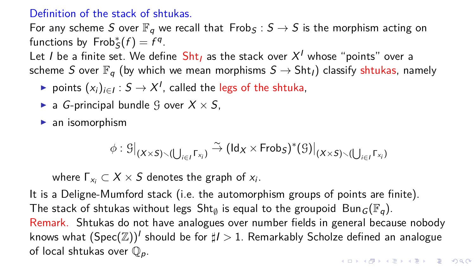#### Definition of the stack of shtukas.

For any scheme S over  $\mathbb{F}_q$  we recall that Frob<sub>S</sub> :  $S \to S$  is the morphism acting on functions by  $Frob_S^*(f) = f^q$ .

Let  $I$  be a finite set. We define  $\operatorname{\mathsf{Sht}}_I$  as the stack over  $\mathcal{X}^I$  whose "points" over a scheme S over  $\mathbb{F}_q$  (by which we mean morphisms  $S \to \text{Sht}_l$ ) classify shtukas, namely

- ► points  $(x_i)_{i \in I}$  :  $S \rightarrow X^I$ , called the legs of the shtuka,
- **a** G-principal bundle G over  $X \times S$ ,

 $\blacktriangleright$  an isomorphism

$$
\phi : \mathcal{G}\big|_{(X\times S)\smallsetminus (\bigcup_{i\in I}\Gamma_{x_i})}\stackrel{\sim}{\to}\big(\mathsf{Id}_X\times\mathsf{Frob}_S)^*(\mathcal{G})\big|_{(X\times S)\smallsetminus (\bigcup_{i\in I}\Gamma_{x_i})}
$$

where  $\Gamma_{\mathsf{x}_i} \subset \mathsf{X} \times \mathsf{S}$  denotes the graph of  $\mathsf{x}_i.$ 

It is a Deligne-Mumford stack (i.e. the automorphism groups of points are finite). The stack of shtukas without legs  $\mathsf{Sht}_\emptyset$  is equal to the groupoid  $\mathsf{Bun}_G(\mathbb{F}_q).$ Remark. Shtukas do not have analogues over number fields in general because nobody knows what  $(\operatorname{Spec}({\mathbb Z}))^I$  should be for  $\sharp I>1.$  Remarkably Scholze defined an analogue of local shtukas over  $\mathbb{Q}_p$ . **KORK EXTERNE PROVIDE**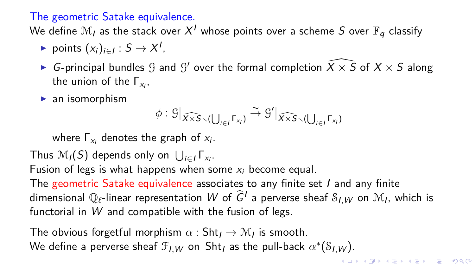## The geometric Satake equivalence.

We define  $\mathcal{M}_I$  as the stack over  $X^I$  whose points over a scheme  $S$  over  $\mathbb{F}_q$  classify

- ► points  $(x_i)_{i \in I} : S \to X^I$ ,
- $\blacktriangleright$   $G$ -principal bundles  $\mathcal G$  and  $\mathcal G'$  over the formal completion  $\widehat{X\times S}$  of  $X\times S$  along the union of the  $\Gamma_{\mathsf{x}_i}$ ,
- $\blacktriangleright$  an isomorphism

$$
\phi: \mathcal{G}|_{\widehat{X\times S}\smallsetminus (\bigcup_{i\in I}\Gamma_{x_i})}\stackrel{\sim}{\to} \mathcal{G}'|_{\widehat{X\times S}\smallsetminus (\bigcup_{i\in I}\Gamma_{x_i})}
$$

where  $\Gamma_{x_i}$  denotes the graph of  $x_i$ .

Thus  $\mathcal{M}_{I}(S)$  depends only on  $\bigcup_{i\in I}\mathsf{\Gamma}_{\mathsf{x}_{i}}$ .

Fusion of legs is what happens when some  $x_i$  become equal.

The geometric Satake equivalence associates to any finite set I and any finite dimensional  $\overline{\mathbb{Q}_\ell}$ -linear representation  $W$  of  $\widehat{G}^I$  a perverse sheaf  $\mathcal{S}_{I,W}$  on  $\mathcal{M}_I$ , which is functorial in W and compatible with the fusion of legs.

The obvious forgetful morphism  $\alpha: \mathsf{Sht}_{I} \to \mathcal{M}_{I}$  is smooth. We define a perverse sheaf  $\mathcal{F}_{I,W}$  on  $\mathsf{Sht}_I$  as the pull-back  $\alpha^*(\mathcal{S}_{I,W})$ .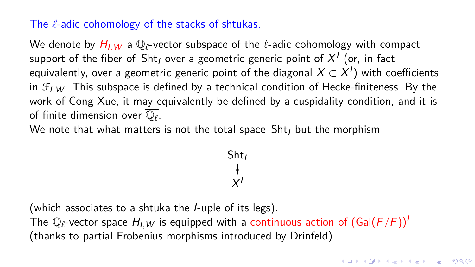## The  $\ell$ -adic cohomology of the stacks of shtukas.

We denote by  $H_{I,W}$  a  $\overline{\mathbb{Q}_\ell}$ -vector subspace of the  $\ell$ -adic cohomology with compact support of the fiber of  $\mathsf{Sht}_I$  over a geometric generic point of  $\mathsf{X}^I$  (or, in fact equivalently, over a geometric generic point of the diagonal  $X \subset X^I)$  with coefficients in  $\mathcal{F}_{I,W}$ . This subspace is defined by a technical condition of Hecke-finiteness. By the work of Cong Xue, it may equivalently be defined by a cuspidality condition, and it is of finite dimension over  $\overline{\mathbb{Q}_\ell}.$ 

We note that what matters is not the total space  $\text{Sht}_I$  but the morphism

$$
\begin{array}{c}\n\text{Sht}_I \\
\downarrow \\
X^I\n\end{array}
$$

(which associates to a shtuka the I-uple of its legs). The  $\overline{\mathbb{Q}_\ell}$ -vector space  $H_{I,W}$  is equipped with a continuous action of  $(Gal(\overline{F}/F))^I$ (thanks to partial Frobenius morphisms introduced by Drinfeld).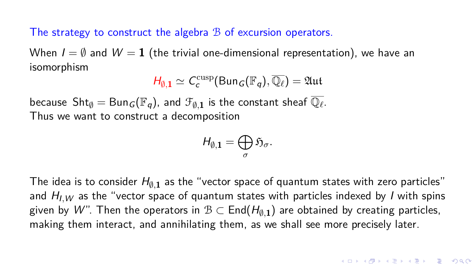The strategy to construct the algebra  $B$  of excursion operators.

When  $I = \emptyset$  and  $W = 1$  (the trivial one-dimensional representation), we have an isomorphism

$$
H_{\emptyset,1} \simeq C_c^{\text{cusp}}(\text{Bun}_G(\mathbb{F}_q), \overline{\mathbb{Q}_\ell}) = \mathfrak{Aut}
$$

because  $\mathsf{Sht}_\emptyset = \mathsf{Bun}_\mathcal{G}(\mathbb{F}_q)$ , and  $\mathcal{F}_{\emptyset, \mathbf{1}}$  is the constant sheaf  $\overline{\mathbb{Q}_\ell}.$ Thus we want to construct a decomposition

$$
H_{\emptyset,1}=\bigoplus_{\sigma}\mathfrak{H}_{\sigma}.
$$

The idea is to consider  $H_{\emptyset,1}$  as the "vector space of quantum states with zero particles" and  $H_{I,W}$  as the "vector space of quantum states with particles indexed by *I* with spins given by  $W$ ". Then the operators in  $\mathcal{B}\subset \mathsf{End}(H_{\emptyset,\mathbf{1}})$  are obtained by creating particles, making them interact, and annihilating them, as we shall see more precisely later.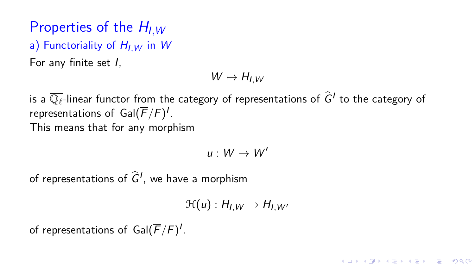# Properties of the  $H_{I\,W}$

a) Functoriality of  $H_{I\,W}$  in W

For any finite set I,

$$
W\mapsto H_{I,W}
$$

is a  $\overline{\mathbb{Q}_\ell}$ -linear functor from the category of representations of  $\widehat{G}^I$  to the category of representations of  $\mathsf{Gal}(\overline{F}/F)^{I}.$ This means that for any morphism

$$
u:W\to W^\prime
$$

of representations of  $\widehat{G}^I$ , we have a morphism

$$
\mathcal{H}(u): H_{I,W} \to H_{I,W'}
$$

**KORK ERKER ADAM ADA** 

of representations of  $\mathsf{Gal}(\overline{F}/F)^{I}.$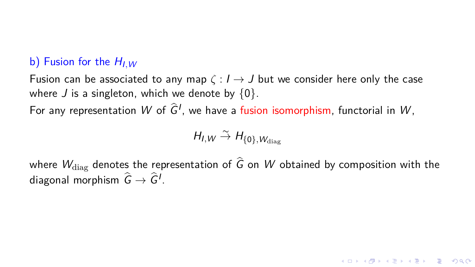## b) Fusion for the  $H_{I\,W}$

Fusion can be associated to any map  $\zeta : I \to J$  but we consider here only the case where J is a singleton, which we denote by  $\{0\}$ .

For any representation  $W$  of  $\widehat{G}^I$ , we have a fusion isomorphism, functorial in  $W$ ,

$$
H_{I,W}\overset{\sim}{\rightarrow} H_{\{0\},W_{\text{diag}}}
$$

where  $W_{\text{diag}}$  denotes the representation of  $\hat{G}$  on W obtained by composition with the diagonal morphism  $\widehat{G} \rightarrow \widehat{G}^I$ .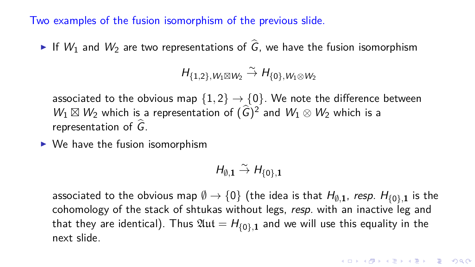Two examples of the fusion isomorphism of the previous slide.

If  $W_1$  and  $W_2$  are two representations of  $\hat{G}$ , we have the fusion isomorphism

$$
H_{\{1,2\},W_1\boxtimes W_2}\overset{\sim}{\rightarrow} H_{\{0\},W_1\otimes W_2}
$$

associated to the obvious map  $\{1,2\} \rightarrow \{0\}$ . We note the difference between  $W_1 \boxtimes W_2$  which is a representation of  $(\widehat{G})^2$  and  $W_1 \otimes W_2$  which is a representation of  $\widehat{G}$ .

 $\triangleright$  We have the fusion isomorphism

$$
H_{\emptyset,1}\overset{\sim}{\rightarrow}H_{\{0\},1}
$$

associated to the obvious map  $\emptyset \to \{0\}$  (the idea is that  $H_{\emptyset,\bf 1}$ , *resp.*  $H_{\{0\},\bf 1}$  is the cohomology of the stack of shtukas without legs, resp. with an inactive leg and that they are identical). Thus  $\mathfrak{Aut} = H_{\{0\},1}$  and we will use this equality in the next slide.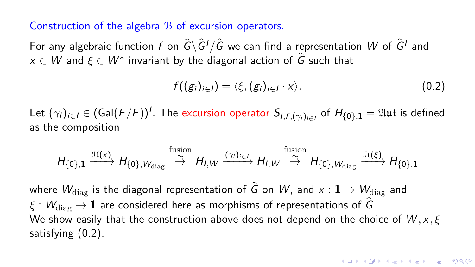Construction of the algebra B of excursion operators.

For any algebraic function  $f$  on  $\hat{G}\backslash\hat{G}^I/\hat{G}$  we can find a representation  $W$  of  $\hat{G}^I$  and  $x \in W$  and  $\xi \in W^*$  invariant by the diagonal action of  $\widehat{G}$  such that

<span id="page-34-0"></span>
$$
f((g_i)_{i\in I}) = \langle \xi, (g_i)_{i\in I} \cdot x \rangle. \tag{0.2}
$$

Let  $(\gamma_i)_{i\in I}\in$   $(\mathsf{Gal}(\overline{F}/F))^{I}.$  The excursion operator  $\mathsf{S}_{I,f,(\gamma_i)_{i\in I}}$  of  $H_{\{0\},\mathbf{1}}=\mathfrak{Aut}$  is defined as the composition

$$
H_{\{0\},\mathbf{1}} \xrightarrow{\mathcal{H}(x)} H_{\{0\},W_{\text{diag}}} \xrightarrow{\text{fusion}} H_{I,W} \xrightarrow{(\gamma_i)_{i\in I}} H_{I,W} \xrightarrow{\text{fusion}} H_{\{0\},W_{\text{diag}}} \xrightarrow{\mathcal{H}(\xi)} H_{\{0\},\mathbf{1}}
$$

where  $W_{\text{diag}}$  is the diagonal representation of  $\hat{G}$  on W, and  $x : \mathbf{1} \to W_{\text{diag}}$  and  $\xi : W_{\text{diag}} \to \mathbf{1}$  are considered here as morphisms of representations of  $\widehat{G}$ . We show easily that the construction above does not depend on the choice of W *,* x*, ξ* satisfying [\(0.2\)](#page-34-0).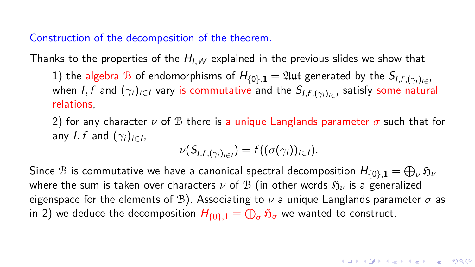Construction of the decomposition of the theorem.

Thanks to the properties of the  $H_{I,W}$  explained in the previous slides we show that

1) the algebra B of endomorphisms of  $H_{\{0\},\mathbf{1}} = \mathfrak{Aut}$  generated by the  $S_{I,f,(\gamma_i)_{i\in I}}$ when *I*,  $f$  and  $(\gamma_i)_{i\in I}$  vary is commutative and the  $\mathcal{S}_{I,f,(\gamma_i)_{i\in I}}$  satisfy some natural relations,

2) for any character  $\nu$  of B there is a unique Langlands parameter  $\sigma$  such that for any  $I, f$  and  $(\gamma_i)_{i \in I}$ ,

$$
\nu(S_{I,f,(\gamma_i)_{i\in I}})=f((\sigma(\gamma_i))_{i\in I}).
$$

Since  $\mathcal B$  is commutative we have a canonical spectral decomposition  $H_{\{0\}, \mathbf 1}=\bigoplus_\nu \mathfrak H_\nu$ where the sum is taken over characters  $\nu$  of  $\mathcal{B}$  (in other words  $\mathfrak{H}_{\nu}$  is a generalized eigenspace for the elements of  $\mathcal{B}$ ). Associating to  $\nu$  a unique Langlands parameter  $\sigma$  as in 2) we deduce the decomposition  $H_{\{0\},\mathbf{1}}=\bigoplus_\sigma\mathfrak{H}_\sigma$  we wanted to construct.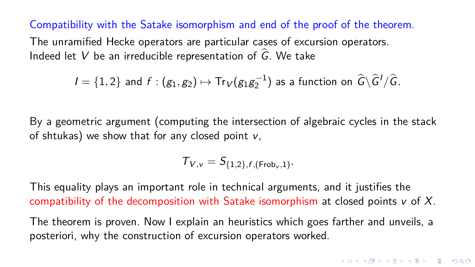Compatibility with the Satake isomorphism and end of the proof of the theorem.

The unramified Hecke operators are particular cases of excursion operators. Indeed let V be an irreducible representation of  $\hat{G}$ . We take

$$
I = \{1, 2\}
$$
 and  $f : (g_1, g_2) \mapsto \text{Tr}_V(g_1 g_2^{-1})$  as a function on  $\hat{G} \backslash \hat{G}' / \hat{G}$ .

By a geometric argument (computing the intersection of algebraic cycles in the stack of shtukas) we show that for any closed point  $v$ ,

 $T_{V, v} = S_{\{1, 2\}, f, (\text{Frob}_v, 1)}.$ 

This equality plays an important role in technical arguments, and it justifies the compatibility of the decomposition with Satake isomorphism at closed points  $v$  of X.

The theorem is proven. Now I explain an heuristics which goes farther and unveils, a posteriori, why the construction of excursion operators worked.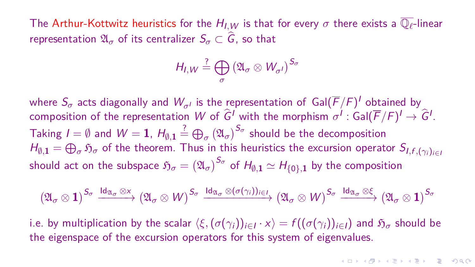The Arthur-Kottwitz heuristics for the  $H_{I,W}$  is that for every  $\sigma$  there exists a  $\overline{\mathbb{Q}_\ell}$ -linear representation  $\mathfrak{A}_{\sigma}$  of its centralizer  $S_{\sigma} \subset \widehat{G}$ , so that

$$
H_{I,W} \stackrel{?}{=} \bigoplus_{\sigma} \left( \mathfrak{A}_{\sigma} \otimes W_{\sigma'} \right)^{S_{\sigma}}
$$

where  $S_\sigma$  acts diagonally and  $W_{\sigma^I}$  is the representation of  $\mathsf{Gal}(\overline{F}/F)^I$  obtained by composition of the representation  $W$  of  $\widehat{G}^I$  with the morphism  $\sigma^I$  : Gal $(\overline{F}/F)^I\to\widehat{G}^I.$ Taking  $I=\emptyset$  and  $W=\mathbf{1}$ ,  $H_{\emptyset,\mathbf{1}}\stackrel{?}{=} \bigoplus_{\sigma} \big( \mathfrak{A}_{\sigma} \big)^{S_{\sigma}}$  should be the decomposition  $H_{\emptyset,{\bf 1}}=\bigoplus_{\sigma}\mathfrak{H}_{\sigma}$  of the theorem. Thus in this heuristics the excursion operator  $S_{l,f,(\gamma_i)_{i\in I}}$ should act on the subspace  $\mathfrak{H}_\sigma = \left( \mathfrak{A}_\sigma \right)^{S_\sigma}$  of  $H_{\emptyset, \bm 1} \simeq H_{\{0\}, \bm 1}$  by the composition

$$
\left(\mathfrak{A}_{\sigma}\otimes\mathbf{1}\right)^{S_{\sigma}}\xrightarrow{{\rm Id}_{\mathfrak{A}_{\sigma}}\otimes \times}\left(\mathfrak{A}_{\sigma}\otimes W\right)^{S_{\sigma}}\xrightarrow{{\rm Id}_{\mathfrak{A}_{\sigma}}\otimes (\sigma(\gamma_{i}))_{i\in I}}\left(\mathfrak{A}_{\sigma}\otimes W\right)^{S_{\sigma}}\xrightarrow{{\rm Id}_{\mathfrak{A}_{\sigma}}\otimes \xi}\left(\mathfrak{A}_{\sigma}\otimes\mathbf{1}\right)^{S_{\sigma}}
$$

i.e. by multiplication by the scalar  $\langle \xi,(\sigma(\gamma_i))_{i\in I}\cdot x\rangle=f((\sigma(\gamma_i))_{i\in I})$  and  $\mathfrak{H}_\sigma$  should be the eigenspace of the excursion operators for this system of eigenvalues.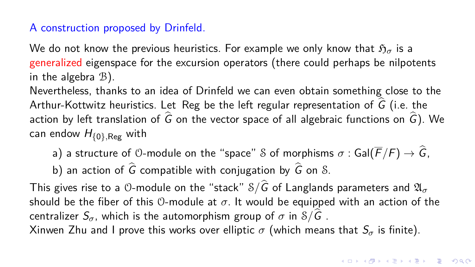## A construction proposed by Drinfeld.

We do not know the previous heuristics. For example we only know that  $\mathfrak{H}_{\sigma}$  is a generalized eigenspace for the excursion operators (there could perhaps be nilpotents in the algebra  $B$ ).

Nevertheless, thanks to an idea of Drinfeld we can even obtain something close to the Arthur-Kottwitz heuristics. Let Reg be the left regular representation of  $\widehat{G}$  (i.e. the action by left translation of  $\hat{G}$  on the vector space of all algebraic functions on  $\hat{G}$ ). We can endow H{0}*,*Reg with

a) a structure of  $\theta$ -module on the "space" S of morphisms  $\sigma$ : Gal( $\overline{F}/F$ )  $\rightarrow \widehat{G}$ , b) an action of  $\widehat{G}$  compatible with conjugation by  $\widehat{G}$  on S.

This gives rise to a 0-module on the "stack" S/ $\widehat{G}$  of Langlands parameters and  $\mathfrak{A}_{\sigma}$ should be the fiber of this  $\mathcal{O}-$ module at  $\sigma$ . It would be equipped with an action of the centralizer  $S_{\sigma}$ , which is the automorphism group of  $\sigma$  in  $\mathcal{S}/\widehat{G}$ . Xinwen Zhu and I prove this works over elliptic  $\sigma$  (which means that  $S_{\sigma}$  is finite).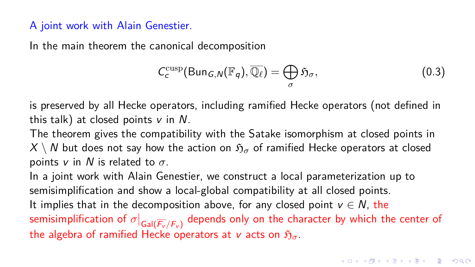## A joint work with Alain Genestier.

In the main theorem the canonical decomposition

$$
C_c^{\text{cusp}}(\text{Bun}_{G,N}(\mathbb{F}_q), \overline{\mathbb{Q}_\ell}) = \bigoplus_{\sigma} \mathfrak{H}_{\sigma}, \qquad (0.3)
$$

is preserved by all Hecke operators, including ramified Hecke operators (not defined in this talk) at closed points  $v$  in  $N$ .

The theorem gives the compatibility with the Satake isomorphism at closed points in  $X \setminus N$  but does not say how the action on  $\mathfrak{H}_{\sigma}$  of ramified Hecke operators at closed points v in N is related to *σ*.

In a joint work with Alain Genestier, we construct a local parameterization up to semisimplification and show a local-global compatibility at all closed points. It implies that in the decomposition above, for any closed point  $v \in N$ , the semisimplification of  $\sigma|_{\mathsf{Gal}(\overline{F_v}/F_v)}$  depends only on the character by which the center of the algebra of ramified Hecke operators at v acts on  $\mathfrak{H}_{\sigma}$ .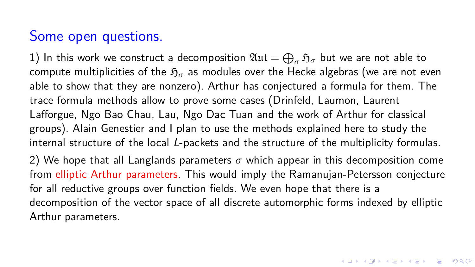## Some open questions.

1) In this work we construct a decomposition  $\mathfrak{Aut}=\bigoplus_{\sigma}\mathfrak{H}_{\sigma}$  but we are not able to compute multiplicities of the  $\mathfrak{H}_{\sigma}$  as modules over the Hecke algebras (we are not even able to show that they are nonzero). Arthur has conjectured a formula for them. The trace formula methods allow to prove some cases (Drinfeld, Laumon, Laurent Lafforgue, Ngo Bao Chau, Lau, Ngo Dac Tuan and the work of Arthur for classical groups). Alain Genestier and I plan to use the methods explained here to study the internal structure of the local L-packets and the structure of the multiplicity formulas. 2) We hope that all Langlands parameters  $\sigma$  which appear in this decomposition come from elliptic Arthur parameters. This would imply the Ramanujan-Petersson conjecture for all reductive groups over function fields. We even hope that there is a decomposition of the vector space of all discrete automorphic forms indexed by elliptic Arthur parameters.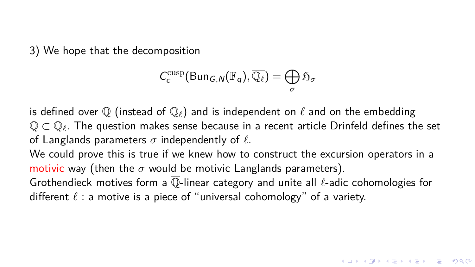3) We hope that the decomposition

$$
C_c^{\text{cusp}}(\text{Bun}_{G,N}(\mathbb{F}_q), \overline{\mathbb{Q}_\ell}) = \bigoplus_{\sigma} \mathfrak{H}_{\sigma}
$$

is defined over  $\overline{O}$  (instead of  $\overline{O_{\ell}}$ ) and is independent on  $\ell$  and on the embedding Q ⊂ Q*`* . The question makes sense because in a recent article Drinfeld defines the set of Langlands parameters  $\sigma$  independently of  $\ell$ .

We could prove this is true if we knew how to construct the excursion operators in a motivic way (then the  $\sigma$  would be motivic Langlands parameters).

Grothendieck motives form a Q-linear category and unite all *`*-adic cohomologies for different  $\ell$  : a motive is a piece of "universal cohomology" of a variety.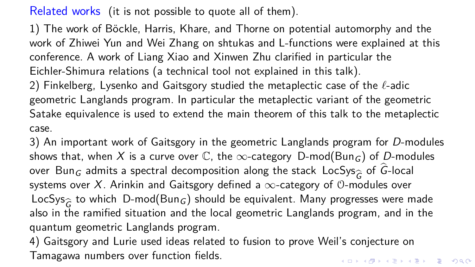Related works (it is not possible to quote all of them).

1) The work of Böckle, Harris, Khare, and Thorne on potential automorphy and the work of Zhiwei Yun and Wei Zhang on shtukas and L-functions were explained at this conference. A work of Liang Xiao and Xinwen Zhu clarified in particular the Eichler-Shimura relations (a technical tool not explained in this talk).

2) Finkelberg, Lysenko and Gaitsgory studied the metaplectic case of the  $\ell$ -adic geometric Langlands program. In particular the metaplectic variant of the geometric Satake equivalence is used to extend the main theorem of this talk to the metaplectic case.

3) An important work of Gaitsgory in the geometric Langlands program for D-modules shows that, when X is a curve over  $\mathbb C$ , the  $\infty$ -category D-mod(Bun<sub>G</sub>) of D-modules over <code>Bun</code> $_G$  admits a spectral decomposition along the stack <code>LocSys</code> $_{\widehat{G}}$  of <code>G-local</code> systems over  $X.$  Arinkin and Gaitsgory defined a  $\infty$ -category of 0-modules over systems over X. Arinkin and Gaitsgory defined a  $\infty$ -category of  $\mathcal O$ -modules over LocSys $_{\widehat G}$  to which <code>D-mod(Bun $_G$ )</code> should be equivalent. Many progresses were made<br>also in the ramified situation and the local geometric Langlands program, and in the also in the ramified situation and the local geometric Langlands program, and in the quantum geometric Langlands program.

4) Gaitsgory and Lurie used ideas related to fusion to prove Weil's conjecture on Tamagawa numbers over function fields.